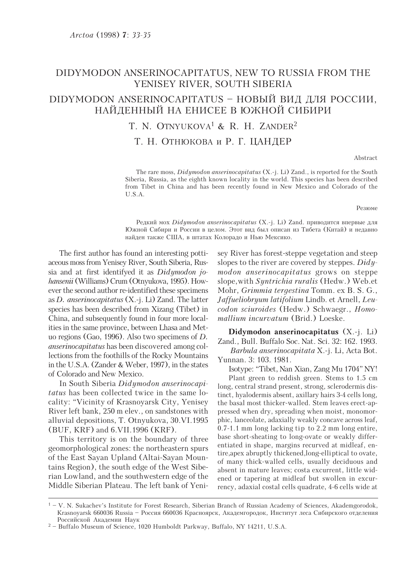## DIDYMODON ANSERINOCAPITATUS, NEW TO RUSSIA FROM THE YENISEY RIVER, SOUTH SIBERIA

# DIDYMODON ANSERINOCAPITATUS - НОВЫЙ ВИД ДЛЯ РОССИИ, НАЙДЕННЫЙ НА ЕНИСЕЕ В ЮЖНОЙ СИБИРИ

# T. N. OTNYUKOVA<sup>1</sup> & R. H. ZANDER<sup>2</sup>

### Т. Н. ОТНЮКОВА и Р. Г. ЦАНДЕР

Abstract

The rare moss, *Didymodon anserinocapitatus* (X.-j. Li) Zand., is reported for the South Siberia, Russia, as the eighth known locality in the world. This species has been described from Tibet in China and has been recently found in New Mexico and Colorado of the  $I.S.A$ 

Резюме

Редкий мох Didymodon anserinocapitatus (X.-j. Li) Zand. приводится впервые для Южной Сибири и России в целом. Этот вид был описан из Тибета (Китай) и недавно найден также США, в штатах Колорадо и Нью Мексико.

The first author has found an interesting pottiaceous moss from Yenisey River, South Siberia, Russia and at first identifyed it as *Didymodon jo*hansenii (Williams) Crum (Otnyukova, 1995). However the second author re-identified these specimens as *D. anserinocapitatus*  $(X.-i, Li)$  Zand. The latter species has been described from Xizang (Tibet) in China, and subsequently found in four more localities in the same province, between Lhasa and Metuo regions (Gao, 1996). Also two specimens of  $D$ . *anserinocapitatus* has been discovered among collections from the foothills of the Rocky Mountains in the U.S.A. (Zander & Weber, 1997), in the states of Colorado and New Mexico.

In South Siberia Didymodon anserinocapitatus has been collected twice in the same locality: "Vicinity of Krasnovarsk City, Yenisey River left bank, 250 m elev., on sandstones with alluvial depositions, T. Otnyukova, 30.VI.1995 (BUF, KRF) and 6.VII.1996 (KRF).

This territory is on the boundary of three geomorphological zones: the northeastern spurs of the East Sayan Upland (Altai-Sayan Mountains Region), the south edge of the West Siberian Lowland, and the southwestern edge of the Middle Siberian Plateau. The left bank of Yenisey River has forest-steppe vegetation and steep slopes to the river are covered by steppes.  $Didy$ modon anserinocapitatus grows on steppe slope, with Syntrichia ruralis (Hedw.) Web.et Mohr, Grimmia tergestina Tomm. ex B. S. G., Jaffueliobryum latifolium Lindb. et Arnell, Leucodon sciuroides (Hedw.) Schwaegr., Homo*mallium incurvatum* (Brid.) Loeske.

Didymodon anserinocapitatus  $(X.-i, Li)$ Zand., Bull. Buffalo Soc. Nat. Sci. 32: 162. 1993. Barbula anserinocapitata X.-j. Li, Acta Bot. Yunnan. 3: 103. 1981.

Isotype: "Tibet, Nan Xian, Zang Mu 1704" NY! Plant green to reddish green. Stems to 1.5 cm long, central strand present, strong, sclerodermis distinct, hyalodermis absent, axillary hairs 3-4 cells long, the basal most thicker-walled. Stem leaves erect-appressed when dry, spreading when moist, monomorphic, lanceolate, adaxially weakly concave across leaf, 0.7-1.1 mm long lacking tip to 2.2 mm long entire, base short-sheating to long-ovate or weakly differentiated in shape, margins recurved at midleaf, entire, apex abruptly thickened, long-elliptical to ovate, of many thick-walled cells, usually deciduous and absent in mature leaves; costa excurrent, little widened or tapering at midleaf but swollen in excurrency, adaxial costal cells quadrate, 4-6 cells wide at

 $1 - V$ . N. Sukachev's Institute for Forest Research, Siberian Branch of Russian Academy of Sciences, Akademgorodok, Krasnoyarsk 660036 Russia - Россия 660036 Красноярск, Академгородок, Институт леса Сибирского отделения Российской Академии Наук

<sup>&</sup>lt;sup>2</sup> - Buffalo Museum of Science, 1020 Humboldt Parkway, Buffalo, NY 14211, U.S.A.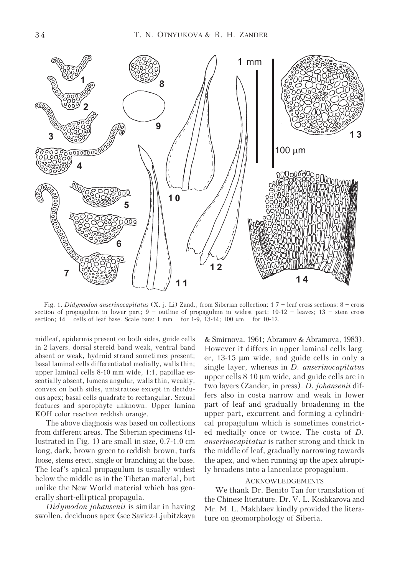

Fig. 1. Didymodon anserinocapitatus (X.-j. Li) Zand., from Siberian collection: 1-7 – leaf cross sections; 8 – cross section of propagulum in lower part; 9 – outline of propagulum in widest part; 10-12 – leaves; 13 – stem cross section;  $14$  – cells of leaf base. Scale bars: 1 mm – for 1-9, 13-14; 100  $\mu$ m – for 10-12.

midleaf, epidermis present on both sides, guide cells in 2 layers, dorsal stereid band weak, ventral band absent or weak, hydroid strand sometimes present; basal laminal cells differentiated medially, walls thin; upper laminal cells 8-10 mm wide, 1:1, papillae essentially absent, lumens angular, walls thin, weakly, convex on both sides, unistratose except in deciduous apex; basal cells quadrate to rectangular. Sexual features and sporophyte unknown. Upper lamina KOH color reaction reddish orange.

The above diagnosis was based on collections from different areas. The Siberian specimens (illustrated in Fig. 1) are small in size, 0.7-1.0 cm long, dark, brown-green to reddish-brown, turfs loose, stems erect, single or branching at the base. The leaf's apical propagulum is usually widest below the middle as in the Tibetan material, but unlike the New World material which has generally short-elliptical propagula.

Didymodon johansenii is similar in having swollen, deciduous apex (see Savicz-Ljubitzkaya

& Smirnova, 1961; Abramov & Abramova, 1983). However it differs in upper laminal cells larger, 13-15 μm wide, and guide cells in only a single layer, whereas in *D. anserinocapitatus* upper cells 8-10 μm wide, and guide cells are in two layers (Zander, in press). D. johansenii differs also in costa narrow and weak in lower part of leaf and gradually broadening in the upper part, excurrent and forming a cylindrical propagulum which is sometimes constricted medially once or twice. The costa of D. anserinocapitatus is rather strong and thick in the middle of leaf, gradually narrowing towards the apex, and when running up the apex abruptly broadens into a lanceolate propagulum.

#### ACKNOWLEDGEMENTS

We thank Dr. Benito Tan for translation of the Chinese literature. Dr. V. L. Koshkarova and Mr. M. L. Makhlaev kindly provided the literature on geomorphology of Siberia.